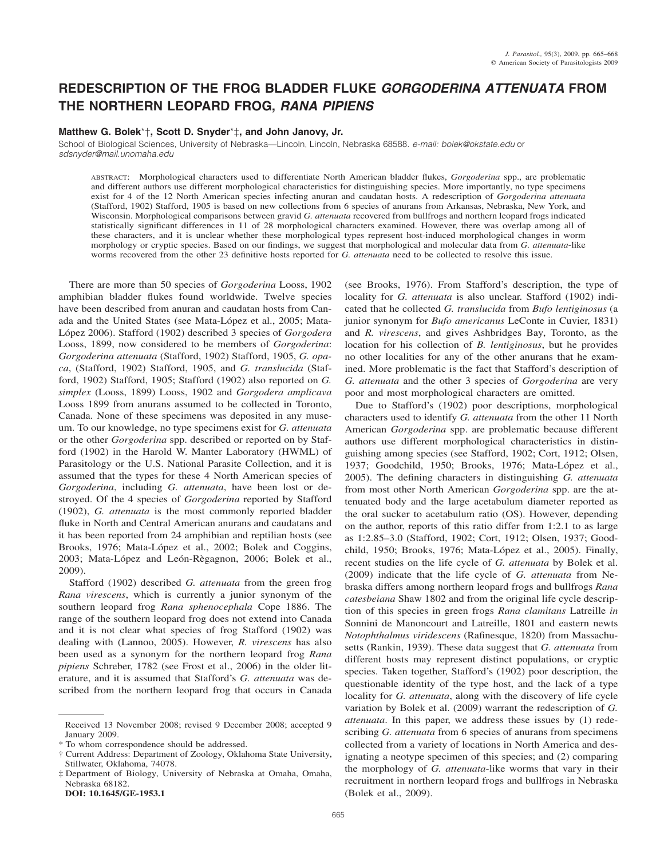# **REDESCRIPTION OF THE FROG BLADDER FLUKE** *GORGODERINA ATTENUATA* **FROM THE NORTHERN LEOPARD FROG,** *RANA PIPIENS*

# **Matthew G. Bolek**\*†**, Scott D. Snyder**\*‡**, and John Janovy, Jr.**

School of Biological Sciences, University of Nebraska—Lincoln, Lincoln, Nebraska 68588. *e-mail: bolek@okstate.edu* or *sdsnyder@mail.unomaha.edu*

ABSTRACT: Morphological characters used to differentiate North American bladder flukes, *Gorgoderina* spp., are problematic and different authors use different morphological characteristics for distinguishing species. More importantly, no type specimens exist for 4 of the 12 North American species infecting anuran and caudatan hosts. A redescription of *Gorgoderina attenuata* (Stafford, 1902) Stafford, 1905 is based on new collections from 6 species of anurans from Arkansas, Nebraska, New York, and Wisconsin. Morphological comparisons between gravid *G. attenuata* recovered from bullfrogs and northern leopard frogs indicated statistically significant differences in 11 of 28 morphological characters examined. However, there was overlap among all of these characters, and it is unclear whether these morphological types represent host-induced morphological changes in worm morphology or cryptic species. Based on our findings, we suggest that morphological and molecular data from *G. attenuata*-like worms recovered from the other 23 definitive hosts reported for *G. attenuata* need to be collected to resolve this issue.

There are more than 50 species of *Gorgoderina* Looss, 1902 amphibian bladder flukes found worldwide. Twelve species have been described from anuran and caudatan hosts from Canada and the United States (see Mata-López et al., 2005; Mata-Lo´pez 2006). Stafford (1902) described 3 species of *Gorgodera* Looss, 1899, now considered to be members of *Gorgoderina*: *Gorgoderina attenuata* (Stafford, 1902) Stafford, 1905, *G. opaca*, (Stafford, 1902) Stafford, 1905, and *G. translucida* (Stafford, 1902) Stafford, 1905; Stafford (1902) also reported on *G. simplex* (Looss, 1899) Looss, 1902 and *Gorgodera amplicava* Looss 1899 from anurans assumed to be collected in Toronto, Canada. None of these specimens was deposited in any museum. To our knowledge, no type specimens exist for *G. attenuata* or the other *Gorgoderina* spp. described or reported on by Stafford (1902) in the Harold W. Manter Laboratory (HWML) of Parasitology or the U.S. National Parasite Collection, and it is assumed that the types for these 4 North American species of *Gorgoderina*, including *G. attenuata*, have been lost or destroyed. Of the 4 species of *Gorgoderina* reported by Stafford (1902), *G. attenuata* is the most commonly reported bladder fluke in North and Central American anurans and caudatans and it has been reported from 24 amphibian and reptilian hosts (see Brooks, 1976; Mata-López et al., 2002; Bolek and Coggins, 2003; Mata-López and León-Règagnon, 2006; Bolek et al., 2009).

Stafford (1902) described *G. attenuata* from the green frog *Rana virescens*, which is currently a junior synonym of the southern leopard frog *Rana sphenocephala* Cope 1886. The range of the southern leopard frog does not extend into Canada and it is not clear what species of frog Stafford (1902) was dealing with (Lannoo, 2005). However, *R. virescens* has also been used as a synonym for the northern leopard frog *Rana pipiens* Schreber, 1782 (see Frost et al., 2006) in the older literature, and it is assumed that Stafford's *G. attenuata* was described from the northern leopard frog that occurs in Canada

**DOI: 10.1645/GE-1953.1**

(see Brooks, 1976). From Stafford's description, the type of locality for *G. attenuata* is also unclear. Stafford (1902) indicated that he collected *G. translucida* from *Bufo lentiginosus* (a junior synonym for *Bufo americanus* LeConte in Cuvier, 1831) and *R. virescens*, and gives Ashbridges Bay, Toronto, as the location for his collection of *B. lentiginosus*, but he provides no other localities for any of the other anurans that he examined. More problematic is the fact that Stafford's description of *G. attenuata* and the other 3 species of *Gorgoderina* are very poor and most morphological characters are omitted.

Due to Stafford's (1902) poor descriptions, morphological characters used to identify *G. attenuata* from the other 11 North American *Gorgoderina* spp. are problematic because different authors use different morphological characteristics in distinguishing among species (see Stafford, 1902; Cort, 1912; Olsen, 1937; Goodchild, 1950; Brooks, 1976; Mata-López et al., 2005). The defining characters in distinguishing *G. attenuata* from most other North American *Gorgoderina* spp. are the attenuated body and the large acetabulum diameter reported as the oral sucker to acetabulum ratio (OS). However, depending on the author, reports of this ratio differ from 1:2.1 to as large as 1:2.85–3.0 (Stafford, 1902; Cort, 1912; Olsen, 1937; Goodchild, 1950; Brooks, 1976; Mata-López et al., 2005). Finally, recent studies on the life cycle of *G. attenuata* by Bolek et al. (2009) indicate that the life cycle of *G. attenuata* from Nebraska differs among northern leopard frogs and bullfrogs *Rana catesbeiana* Shaw 1802 and from the original life cycle description of this species in green frogs *Rana clamitans* Latreille *in* Sonnini de Manoncourt and Latreille, 1801 and eastern newts *Notophthalmus viridescens* (Rafinesque, 1820) from Massachusetts (Rankin, 1939). These data suggest that *G. attenuata* from different hosts may represent distinct populations, or cryptic species. Taken together, Stafford's (1902) poor description, the questionable identity of the type host, and the lack of a type locality for *G. attenuata*, along with the discovery of life cycle variation by Bolek et al. (2009) warrant the redescription of *G. attenuata*. In this paper, we address these issues by (1) redescribing *G. attenuata* from 6 species of anurans from specimens collected from a variety of locations in North America and designating a neotype specimen of this species; and (2) comparing the morphology of *G. attenuata*-like worms that vary in their recruitment in northern leopard frogs and bullfrogs in Nebraska (Bolek et al., 2009).

Received 13 November 2008; revised 9 December 2008; accepted 9 January 2009.

<sup>\*</sup> To whom correspondence should be addressed.

<sup>†</sup> Current Address: Department of Zoology, Oklahoma State University, Stillwater, Oklahoma, 74078.

<sup>‡</sup> Department of Biology, University of Nebraska at Omaha, Omaha, Nebraska 68182.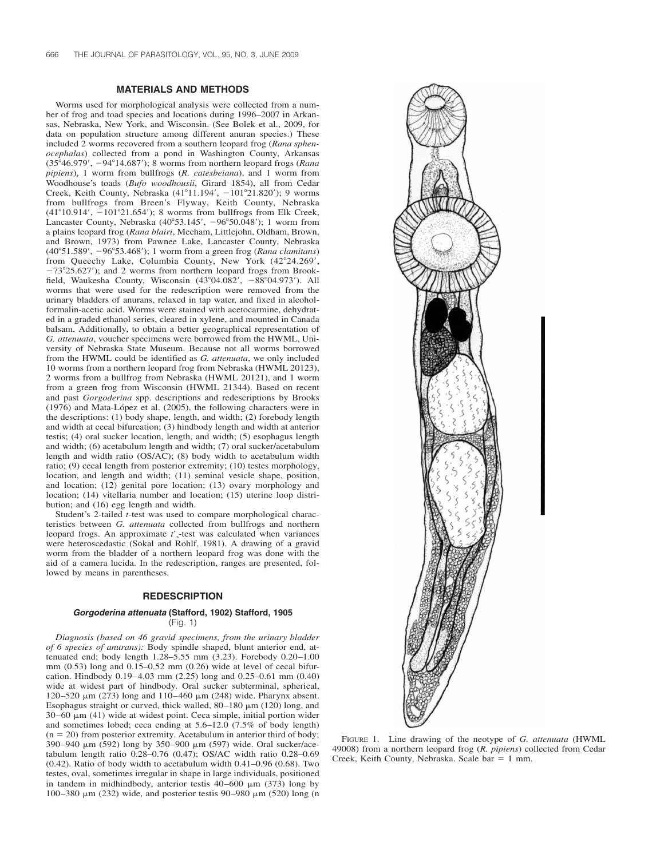## **MATERIALS AND METHODS**

Worms used for morphological analysis were collected from a number of frog and toad species and locations during 1996–2007 in Arkansas, Nebraska, New York, and Wisconsin. (See Bolek et al., 2009, for data on population structure among different anuran species.) These included 2 worms recovered from a southern leopard frog (*Rana sphenocephalas*) collected from a pond in Washington County, Arkansas (3546.979, 9414.687); 8 worms from northern leopard frogs (*Rana pipiens*), 1 worm from bullfrogs (*R. catesbeiana*), and 1 worm from Woodhouse's toads (*Bufo woodhousii*, Girard 1854), all from Cedar Creek, Keith County, Nebraska  $(41^{\circ}11.194', -101^{\circ}21.820')$ ; 9 worms from bullfrogs from Breen's Flyway, Keith County, Nebraska  $(41^{\circ}10.914', -101^{\circ}21.654')$ ; 8 worms from bullfrogs from Elk Creek, Lancaster County, Nebraska  $(40^{\circ}53.145', -96^{\circ}50.048')$ ; 1 worm from a plains leopard frog (*Rana blairi*, Mecham, Littlejohn, Oldham, Brown, and Brown, 1973) from Pawnee Lake, Lancaster County, Nebraska (4051.589, 9653.468); 1 worm from a green frog (*Rana clamitans*) from Queechy Lake, Columbia County, New York (42°24.269',  $-73^{\circ}25.627$ ; and 2 worms from northern leopard frogs from Brookfield, Waukesha County, Wisconsin  $(43^{\circ}04.082', -88^{\circ}04.973')$ . All worms that were used for the redescription were removed from the urinary bladders of anurans, relaxed in tap water, and fixed in alcoholformalin-acetic acid. Worms were stained with acetocarmine, dehydrated in a graded ethanol series, cleared in xylene, and mounted in Canada balsam. Additionally, to obtain a better geographical representation of *G. attenuata*, voucher specimens were borrowed from the HWML, University of Nebraska State Museum. Because not all worms borrowed from the HWML could be identified as *G. attenuata*, we only included 10 worms from a northern leopard frog from Nebraska (HWML 20123), 2 worms from a bullfrog from Nebraska (HWML 20121), and 1 worm from a green frog from Wisconsin (HWML 21344). Based on recent and past *Gorgoderina* spp. descriptions and redescriptions by Brooks (1976) and Mata-López et al. (2005), the following characters were in the descriptions: (1) body shape, length, and width; (2) forebody length and width at cecal bifurcation; (3) hindbody length and width at anterior testis; (4) oral sucker location, length, and width; (5) esophagus length and width; (6) acetabulum length and width; (7) oral sucker/acetabulum length and width ratio (OS/AC); (8) body width to acetabulum width ratio; (9) cecal length from posterior extremity; (10) testes morphology, location, and length and width; (11) seminal vesicle shape, position, and location; (12) genital pore location; (13) ovary morphology and location; (14) vitellaria number and location; (15) uterine loop distribution; and (16) egg length and width.

Student's 2-tailed *t*-test was used to compare morphological characteristics between *G. attenuata* collected from bullfrogs and northern leopard frogs. An approximate  $t'$ <sub>s</sub>-test was calculated when variances were heteroscedastic (Sokal and Rohlf, 1981). A drawing of a gravid worm from the bladder of a northern leopard frog was done with the aid of a camera lucida. In the redescription, ranges are presented, followed by means in parentheses.

### **REDESCRIPTION**

# *Gorgoderina attenuata* **(Stafford, 1902) Stafford, 1905**

(Fig. 1)

*Diagnosis (based on 46 gravid specimens, from the urinary bladder of 6 species of anurans):* Body spindle shaped, blunt anterior end, attenuated end; body length 1.28–5.55 mm (3.23). Forebody 0.20–1.00 mm  $(0.53)$  long and  $0.15-0.52$  mm  $(0.26)$  wide at level of cecal bifurcation. Hindbody 0.19–4.03 mm (2.25) long and 0.25–0.61 mm (0.40) wide at widest part of hindbody. Oral sucker subterminal, spherical, 120–520 μm (273) long and 110–460 μm (248) wide. Pharynx absent. Esophagus straight or curved, thick walled,  $80-180 \mu m$  (120) long, and  $30-60 \mu m$  (41) wide at widest point. Ceca simple, initial portion wider and sometimes lobed; ceca ending at 5.6–12.0 (7.5% of body length)  $(n = 20)$  from posterior extremity. Acetabulum in anterior third of body; 390–940 m (592) long by 350–900 m (597) wide. Oral sucker/acetabulum length ratio 0.28–0.76 (0.47); OS/AC width ratio 0.28–0.69 (0.42). Ratio of body width to acetabulum width 0.41–0.96 (0.68). Two testes, oval, sometimes irregular in shape in large individuals, positioned in tandem in midhindbody, anterior testis  $40-600 \mu m$  (373) long by 100–380  $\mu$ m (232) wide, and posterior testis 90–980  $\mu$ m (520) long (n



FIGURE 1. Line drawing of the neotype of *G. attenuata* (HWML 49008) from a northern leopard frog (*R. pipiens*) collected from Cedar Creek, Keith County, Nebraska. Scale bar  $= 1$  mm.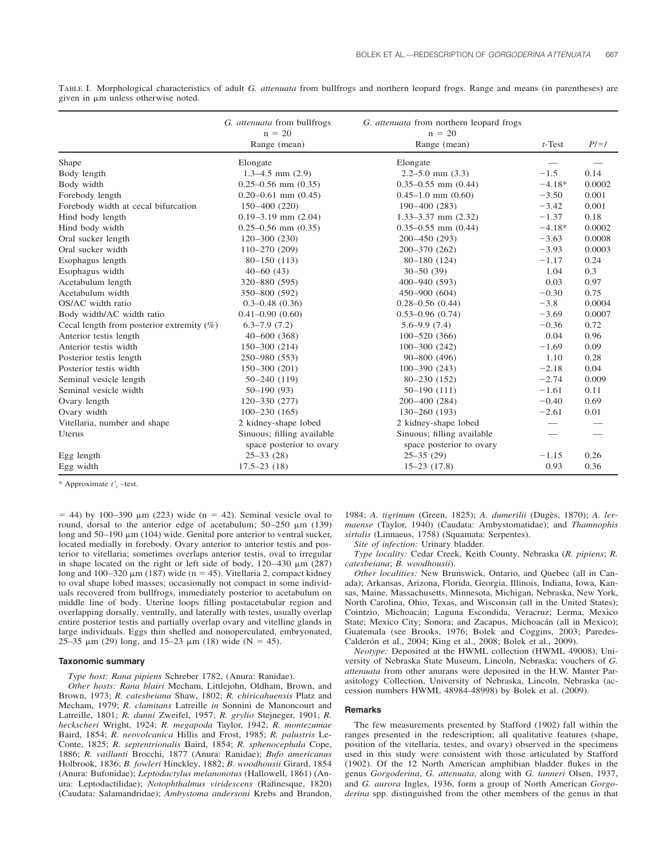|                                              | G. attenuata from bullfrogs<br>$n = 20$ | G. attenuata from northern leopard frogs<br>$n = 20$ |           |            |
|----------------------------------------------|-----------------------------------------|------------------------------------------------------|-----------|------------|
|                                              | Range (mean)                            | Range (mean)                                         | $t$ -Test | $P/\!=\!/$ |
| Shape                                        | Elongate                                | Elongate                                             |           |            |
| Body length                                  | $1.3 - 4.5$ mm $(2.9)$                  | $2.2 - 5.0$ mm $(3.3)$                               | $-1.5$    | 0.14       |
| Body width                                   | $0.25 - 0.56$ mm $(0.35)$               | $0.35 - 0.55$ mm $(0.44)$                            | $-4.18*$  | 0.0002     |
| Forebody length                              | $0.20 - 0.61$ mm $(0.45)$               | $0.45 - 1.0$ mm $(0.60)$                             | $-3.50$   | 0.001      |
| Forebody width at cecal bifurcation          | $150 - 400(220)$                        | $190 - 400(283)$                                     | $-3.42$   | 0.001      |
| Hind body length                             | $0.19 - 3.19$ mm $(2.04)$               | $1.33 - 3.37$ mm $(2.32)$                            | $-1.37$   | 0.18       |
| Hind body width                              | $0.25 - 0.56$ mm $(0.35)$               | $0.35 - 0.55$ mm $(0.44)$                            | $-4.18*$  | 0.0002     |
| Oral sucker length                           | $120 - 300(230)$                        | $200 - 450(293)$                                     | $-3.63$   | 0.0008     |
| Oral sucker width                            | $110 - 270(209)$                        | 200-370 (262)                                        | $-3.93$   | 0.0003     |
| Esophagus length                             | $80 - 150(113)$                         | $80 - 180(124)$                                      | $-1.17$   | 0.24       |
| Esophagus width                              | $40 - 60$ (43)                          | $30 - 50(39)$                                        | 1.04      | 0.3        |
| Acetabulum length                            | 320-880 (595)                           | $400 - 940(593)$                                     | 0.03      | 0.97       |
| Acetabulum width                             | 350-800 (592)                           | $450 - 900(604)$                                     | $-0.30$   | 0.75       |
| OS/AC width ratio                            | $0.3 - 0.48$ $(0.36)$                   | $0.28 - 0.56$ $(0.44)$                               | $-3.8$    | 0.0004     |
| Body width/AC width ratio                    | $0.41 - 0.90(0.60)$                     | $0.53 - 0.96$ $(0.74)$                               | $-3.69$   | 0.0007     |
| Cecal length from posterior extremity $(\%)$ | $6.3 - 7.9(7.2)$                        | $5.6 - 9.9(7.4)$                                     | $-0.36$   | 0.72       |
| Anterior testis length                       | $40 - 600$ (368)                        | $100 - 520(366)$                                     | 0.04      | 0.96       |
| Anterior testis width                        | 150-300 (214)                           | $100 - 300(242)$                                     | $-1.69$   | 0.09       |
| Posterior testis length                      | 250-980 (553)                           | $90 - 800(496)$                                      | 1.10      | 0.28       |
| Posterior testis width                       | $150 - 300(201)$                        | $100 - 390(243)$                                     | $-2.18$   | 0.04       |
| Seminal vesicle length                       | $50 - 240(119)$                         | $80 - 230(152)$                                      | $-2.74$   | 0.009      |
| Seminal vesicle width                        | $50 - 190(93)$                          | $50-190(111)$                                        | $-1.61$   | 0.11       |
| Ovary length                                 | $120 - 330(277)$                        | $200 - 400(284)$                                     | $-0.40$   | 0.69       |
| Ovary width                                  | $100 - 230(165)$                        | $130 - 260(193)$                                     | $-2.61$   | 0.01       |
| Vitellaria, number and shape                 | 2 kidney-shape lobed                    | 2 kidney-shape lobed                                 |           |            |
| Uterus                                       | Sinuous; filling available              | Sinuous; filling available                           |           |            |
|                                              | space posterior to ovary                | space posterior to ovary                             |           |            |
| Egg length                                   | $25 - 33(28)$                           | $25 - 35(29)$                                        | $-1.15$   | 0.26       |
| Egg width                                    | $17.5 - 23(18)$                         | $15-23(17.8)$                                        | 0.93      | 0.36       |

TABLE I. Morphological characteristics of adult *G. attenuata* from bullfrogs and northern leopard frogs. Range and means (in parentheses) are given in  $\mu$ m unless otherwise noted.

\* Approximate *t'*<sup>s</sup> –test.

 $=$  44) by 100–390  $\mu$ m (223) wide (n = 42). Seminal vesicle oval to round, dorsal to the anterior edge of acetabulum;  $50-250 \mu m$  (139) long and  $50-190 \mu m$  (104) wide. Genital pore anterior to ventral sucker, located medially in forebody. Ovary anterior to anterior testis and posterior to vitellaria; sometimes overlaps anterior testis, oval to irregular in shape located on the right or left side of body,  $120-430 \mu m$  (287) long and  $100-320 \mu m$  (187) wide (n = 45). Vitellaria 2, compact kidney to oval shape lobed masses; occasionally not compact in some individuals recovered from bullfrogs, immediately posterior to acetabulum on middle line of body. Uterine loops filling postacetabular region and overlapping dorsally, ventrally, and laterally with testes, usually overlap entire posterior testis and partially overlap ovary and vitelline glands in large individuals. Eggs thin shelled and nonoperculated, embryonated, 25–35  $\mu$ m (29) long, and 15–23  $\mu$ m (18) wide (N = 45).

#### **Taxonomic summary**

*Type host: Rana pipiens* Schreber 1782, (Anura: Ranidae).

*Other hosts: Rana blairi* Mecham, Littlejohn, Oldham, Brown, and Brown, 1973; *R. catesbeiana* Shaw, 1802; *R. chiricahuensis* Platz and Mecham, 1979; *R. clamitans* Latreille *in* Sonnini de Manoncourt and Latreille, 1801; *R. dunni* Zweifel, 1957; *R. grylio* Stejneger, 1901; *R. heckscheri* Wright, 1924; *R. megapoda* Taylor, 1942; *R. montezumae* Baird, 1854; *R. neovolcanica* Hillis and Frost, 1985; *R. palustris* Le-Conte, 1825; *R. septentrionalis* Baird, 1854; *R. sphenocephala* Cope, 1886; *R. vaillanti* Brocchi, 1877 (Anura: Ranidae); *Bufo americanus* Holbrook, 1836; *B. fowleri* Hinckley, 1882; *B. woodhousii* Girard, 1854 (Anura: Bufonidae); *Leptodactylus melanonotus* (Hallowell, 1861) (Anura: Leptodactilidae); *Notophthalmus viridescens* (Rafinesque, 1820) (Caudata: Salamandridae); *Ambystoma andersoni* Krebs and Brandon,

1984; *A. tigrinum* (Green, 1825); *A. dumerilii* (Dugès, 1870); *A. lermaense* (Taylor, 1940) (Caudata: Ambystomatidae); and *Thamnophis sirtalis* (Linnaeus, 1758) (Squamata: Serpentes).

*Site of infection:* Urinary bladder.

*Type locality:* Cedar Creek, Keith County, Nebraska (*R. pipiens*; *R. catesbeiana*; *B. woodhousii*).

*Other localities:* New Brunswick, Ontario, and Quebec (all in Canada); Arkansas, Arizona, Florida, Georgia, Illinois, Indiana, Iowa, Kansas, Maine, Massachusetts, Minnesota, Michigan, Nebraska, New York, North Carolina, Ohio, Texas, and Wisconsin (all in the United States); Cointzio, Michoacán; Laguna Escondida, Veracruz; Lerma, Mexico State; Mexico City; Sonora; and Zacapus, Michoacán (all in Mexico); Guatemala (see Brooks, 1976; Bolek and Coggins, 2003; Paredes-Calderón et al., 2004; King et al., 2008; Bolek et al., 2009).

*Neotype:* Deposited at the HWML collection (HWML 49008), University of Nebraska State Museum, Lincoln, Nebraska; vouchers of *G. attenuata* from other anurans were deposited in the H.W. Manter Parasitology Collection, University of Nebraska, Lincoln, Nebraska (accession numbers HWML 48984-48998) by Bolek et al. (2009).

#### **Remarks**

The few measurements presented by Stafford (1902) fall within the ranges presented in the redescription; all qualitative features (shape, position of the vitellaria, testes, and ovary) observed in the specimens used in this study were consistent with those articulated by Stafford (1902). Of the 12 North American amphibian bladder flukes in the genus *Gorgoderina*, *G. attenuata*, along with *G. tanneri* Olsen, 1937, and *G. aurora* Ingles, 1936, form a group of North American *Gorgoderina* spp. distinguished from the other members of the genus in that